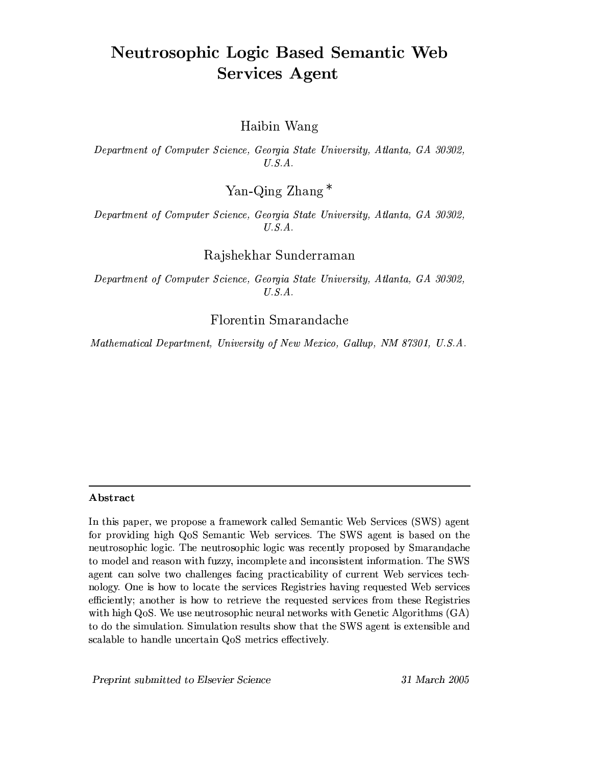# **Neutrosophic Logic Based Semantic Web Services Agent**

# Haibin Wang

Department of Computer Science, Georgia State University, Atlanta, GA 30302,  $U.S.A.$ 

Yan-Qing Zhang\*

Department of Computer Science, Georgia State University, Atlanta, GA 30302,  $U.S.A.$ 

Rajshekhar Sunderraman

Department of Computer Science, Georgia State University, Atlanta, GA 30302,  $U.S.A.$ 

Florentin Smarandache

Mathematical Department, University of New Mexico, Gallup, NM 87301, U.S.A.

## Abstract

In this paper, we propose a framework called Semantic Web Services (SWS) agent for providing high QoS Semantic Web services. The SWS agent is based on the neutrosophic logic. The neutrosophic logic was recently proposed by Smarandache to model and reason with fuzzy, incomplete and inconsistent information. The SWS agent can solve two challenges facing practicability of current Web services technology. One is how to locate the services Registries having requested Web services efficiently; another is how to retrieve the requested services from these Registries with high QoS. We use neutrosophic neural networks with Genetic Algorithms  $(GA)$ to do the simulation. Simulation results show that the SWS agent is extensible and scalable to handle uncertain QoS metrics effectively.

Preprint submitted to Elsevier Science

31 March 2005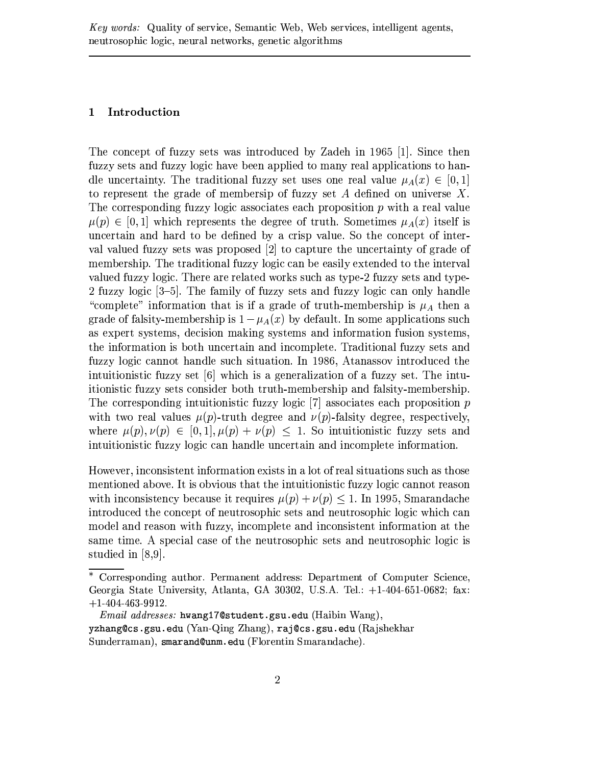#### $\mathbf{1}$ Introduction

The concept of fuzzy sets was introduced by Zadeh in 1965 [1]. Since then fuzzy sets and fuzzy logic have been applied to many real applications to handle uncertainty. The traditional fuzzy set uses one real value  $\mu_A(x) \in [0,1]$ to represent the grade of membersip of fuzzy set  $A$  defined on universe  $X$ . The corresponding fuzzy logic associates each proposition  $p$  with a real value  $\mu(p) \in [0,1]$  which represents the degree of truth. Sometimes  $\mu_A(x)$  itself is uncertain and hard to be defined by a crisp value. So the concept of interval valued fuzzy sets was proposed [2] to capture the uncertainty of grade of membership. The traditional fuzzy logic can be easily extended to the interval valued fuzzy logic. There are related works such as type-2 fuzzy sets and type-2 fuzzy logic [3–5]. The family of fuzzy sets and fuzzy logic can only handle "complete" information that is if a grade of truth-membership is  $\mu_A$  then a grade of falsity-membership is  $1 - \mu_A(x)$  by default. In some applications such as expert systems, decision making systems and information fusion systems, the information is both uncertain and incomplete. Traditional fuzzy sets and fuzzy logic cannot handle such situation. In 1986, Atanassov introduced the intuitionistic fuzzy set  $[6]$  which is a generalization of a fuzzy set. The intuitionistic fuzzy sets consider both truth-membership and falsity-membership. The corresponding intuitionistic fuzzy logic  $[7]$  associates each proposition  $p$ with two real values  $\mu(p)$ -truth degree and  $\nu(p)$ -falsity degree, respectively, where  $\mu(p), \nu(p) \in [0,1], \mu(p) + \nu(p) \leq 1$ . So intuitionistic fuzzy sets and intuitionistic fuzzy logic can handle uncertain and incomplete information.

However, inconsistent information exists in a lot of real situations such as those mentioned above. It is obvious that the intuitionistic fuzzy logic cannot reason with inconsistency because it requires  $\mu(p) + \nu(p) \leq 1$ . In 1995, Smarandache introduced the concept of neutrosophic sets and neutrosophic logic which can model and reason with fuzzy, incomplete and inconsistent information at the same time. A special case of the neutrosophic sets and neutrosophic logic is studied in  $[8,9]$ .

Corresponding author. Permanent address: Department of Computer Science, Georgia State University, Atlanta, GA 30302, U.S.A. Tel.:  $+1-404-651-0682$ ; fax:  $+1.404.463.9912.$ 

 $Email \;addresses:$  hwang17@student.gsu.edu (Haibin Wang), yzhang@cs.gsu.edu (Yan-Qing Zhang), raj@cs.gsu.edu (Rajshekhar Sunderraman), smarand@unm.edu (Florentin Smarandache).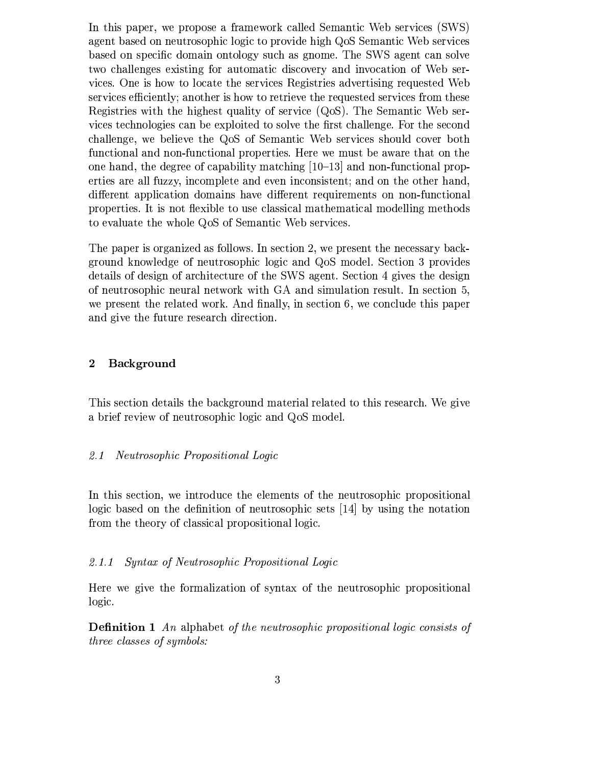In this paper, we propose a framework called Semantic Web services (SWS) agent based on neutrosophic logic to provide high QoS Semantic Web services based on specific domain ontology such as gnome. The SWS agent can solve two challenges existing for automatic discovery and invocation of Web services. One is how to locate the services Registries advertising requested Web services efficiently; another is how to retrieve the requested services from these Registries with the highest quality of service (QoS). The Semantic Web services technologies can be exploited to solve the first challenge. For the second challenge, we believe the QoS of Semantic Web services should cover both functional and non-functional properties. Here we must be aware that on the one hand, the degree of capability matching [10–13] and non-functional properties are all fuzzy, incomplete and even inconsistent; and on the other hand, different application domains have different requirements on non-functional properties. It is not flexible to use classical mathematical modelling methods to evaluate the whole QoS of Semantic Web services.

The paper is organized as follows. In section 2, we present the necessary background knowledge of neutrosophic logic and QoS model. Section 3 provides details of design of architecture of the SWS agent. Section 4 gives the design of neutrosophic neural network with GA and simulation result. In section 5, we present the related work. And finally, in section 6, we conclude this paper and give the future research direction.

#### Background  $\boldsymbol{2}$

This section details the background material related to this research. We give a brief review of neutrosophic logic and QoS model.

#### Neutrosophic Propositional Logic  $2.1$

In this section, we introduce the elements of the neutrosophic propositional logic based on the definition of neutrosophic sets  $[14]$  by using the notation from the theory of classical propositional logic.

#### $2.1.1$ Syntax of Neutrosophic Propositional Logic

Here we give the formalization of syntax of the neutrosophic propositional logic.

**Definition 1** An alphabet of the neutrosophic propositional logic consists of *three classes of symbols:*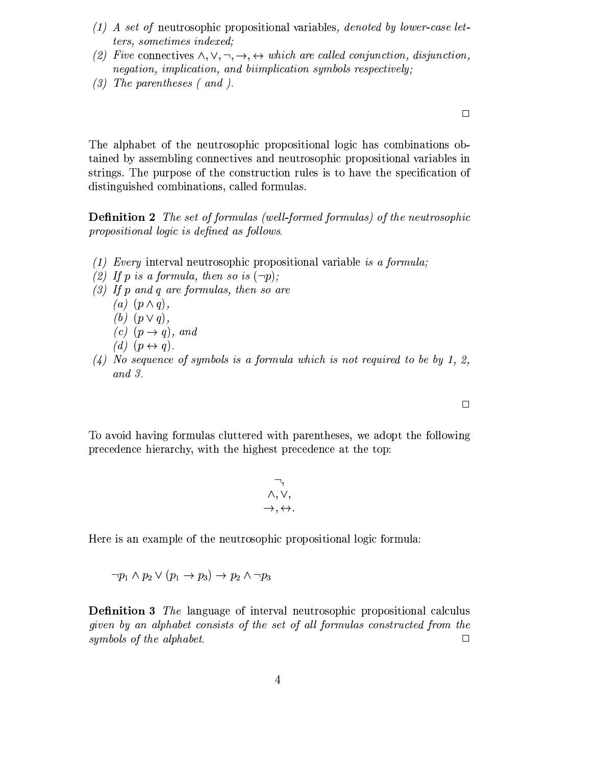- (1) A set of neutrosophic propositional variables, denoted by lower-case letters, sometimes indexed;
- (2) Five connectives  $\wedge, \vee, \neg, \rightarrow, \leftrightarrow$  which are called conjunction, disjunction, negation, implication, and biimplication symbols respectively;
- $(3)$  The parentheses (and).

The alphabet of the neutrosophic propositional logic has combinations obtained by assembling connectives and neutrosophic propositional variables in strings. The purpose of the construction rules is to have the specification of distinguished combinations, called formulas.

**Definition 2** The set of formulas (well-formed formulas) of the neutrosophic propositional logic is defined as follows.

- (1) Every interval neutrosophic propositional variable is a formula;
- (2) If p is a formula, then so is  $(\neg p)$ ;
- $(3)$  If p and q are formulas, then so are
	- $(a)$   $(p \wedge q)$ ,
	- (b)  $(p \vee q)$ ,
	- $(c)$   $(p \rightarrow q)$ , and
	- $(d)$   $(p \leftrightarrow q)$ .
- $(4)$  No sequence of symbols is a formula which is not required to be by 1, 2,  $and 3.$

To avoid having formulas cluttered with parentheses, we adopt the following precedence hierarchy, with the highest precedence at the top:

$$
\neg,\\ \wedge, \vee,\\ \rightarrow, \leftrightarrow
$$

Here is an example of the neutrosophic propositional logic formula:

$$
\neg p_1 \land p_2 \lor (p_1 \to p_3) \to p_2 \land \neg p_3
$$

**Definition 3** The language of interval neutrosophic propositional calculus given by an alphabet consists of the set of all formulas constructed from the symbols of the alphabet.  $\Box$ 

 $\Box$ 

 $\Box$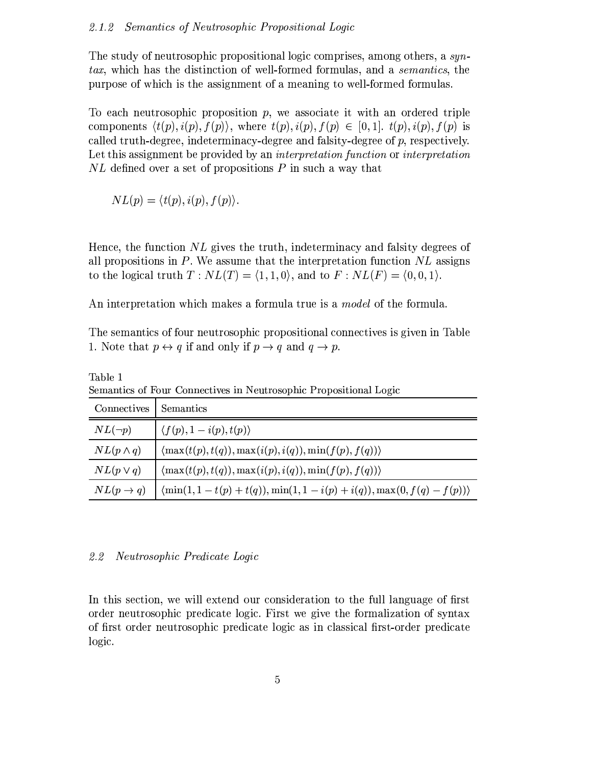The study of neutrosophic propositional logic comprises, among others, a syntax, which has the distinction of well-formed formulas, and a *semantics*, the purpose of which is the assignment of a meaning to well-formed formulas.

To each neutrosophic proposition  $p$ , we associate it with an ordered triple components  $\langle t(p), i(p), f(p) \rangle$ , where  $t(p), i(p), f(p) \in [0, 1]$ .  $t(p), i(p), f(p)$  is called truth-degree, indeterminacy-degree and falsity-degree of  $p$ , respectively. Let this assignment be provided by an *interpretation function* or *interpretation*  $NL$  defined over a set of propositions P in such a way that

$$
NL(p) = \langle t(p), i(p), f(p) \rangle.
$$

Hence, the function  $NL$  gives the truth, indeterminacy and falsity degrees of all propositions in  $P$ . We assume that the interpretation function  $NL$  assigns to the logical truth  $T: NL(T) = \langle 1, 1, 0 \rangle$ , and to  $F: NL(F) = \langle 0, 0, 1 \rangle$ .

An interpretation which makes a formula true is a *model* of the formula.

The semantics of four neutrosophic propositional connectives is given in Table 1. Note that  $p \leftrightarrow q$  if and only if  $p \rightarrow q$  and  $q \rightarrow p$ .

| Connectives           | Semantics                                                                        |
|-----------------------|----------------------------------------------------------------------------------|
| $NL(\neg p)$          | $\langle f(p), 1-i(p), t(p) \rangle$                                             |
| $NL(p \wedge q)$      | $\langle \max(t(p), t(q)), \max(i(p), i(q)), \min(f(p), f(q)) \rangle$           |
| $NL(p\vee q)$         | $\langle \max(t(p), t(q)), \max(t(p), i(q)), \min(t(p), f(q)) \rangle$           |
| $NL(p \rightarrow q)$ | $\langle \min(1, 1-t(p)+t(q)), \min(1, 1-i(p)+i(q)), \max(0, f(q)-f(p)) \rangle$ |

Semantics of Four Connectives in Neutrosophic Propositional Logic

#### $2.2$ *Neutrosophic Predicate Logic*

Table 1

In this section, we will extend our consideration to the full language of first order neutrosophic predicate logic. First we give the formalization of syntax of first order neutrosophic predicate logic as in classical first-order predicate logic.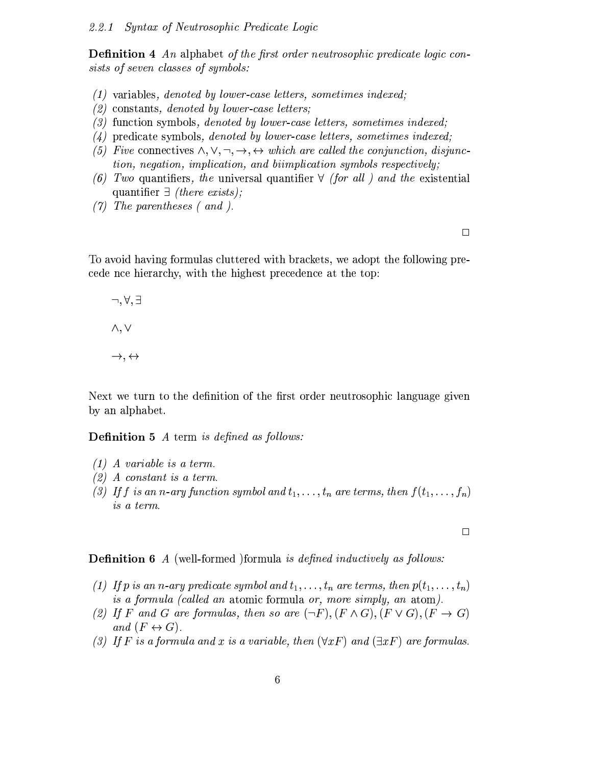**Definition 4** An alphabet of the first order neutrosophic predicate logic consists of seven classes of symbols:

- $(1)$  variables, denoted by lower-case letters, sometimes indexed;
- $(2)$  constants, denoted by lower-case letters;
- $(3)$  function symbols, denoted by lower-case letters, sometimes indexed;
- $(4)$  predicate symbols, denoted by lower-case letters, sometimes indexed;
- (5) Five connectives  $\wedge, \vee, \neg, \rightarrow, \leftrightarrow$  which are called the conjunction, disjunction, negation, implication, and biimplication symbols respectively;
- (6) Two quantifiers, the universal quantifier  $\forall$  (for all) and the existential quantifier  $\exists$  (there exists);
- $(7)$  The parentheses (and).

 $\Box$ 

To avoid having formulas cluttered with brackets, we adopt the following precede not hierarchy, with the highest precedence at the top:

 $\neg, \forall, \exists$  $\wedge, \vee$  $\rightarrow$ ,  $\leftrightarrow$ 

Next we turn to the definition of the first order neutrosophic language given by an alphabet.

# **Definition 5** A term is defined as follows:

- $(1)$  A variable is a term.
- $(2)$  A constant is a term.
- (3) If f is an n-ary function symbol and  $t_1, \ldots, t_n$  are terms, then  $f(t_1, \ldots, t_n)$ is a term.

 $\Box$ 

**Definition 6** A (well-formed )formula is defined inductively as follows:

- (1) If p is an n-ary predicate symbol and  $t_1, \ldots, t_n$  are terms, then  $p(t_1, \ldots, t_n)$ is a formula (called an atomic formula or, more simply, an atom).
- (2) If F and G are formulas, then so are  $(\neg F)$ ,  $(F \wedge G)$ ,  $(F \vee G)$ ,  $(F \rightarrow G)$ and  $(F \leftrightarrow G)$ .
- (3) If F is a formula and x is a variable, then  $(\forall x F)$  and  $(\exists x F)$  are formulas.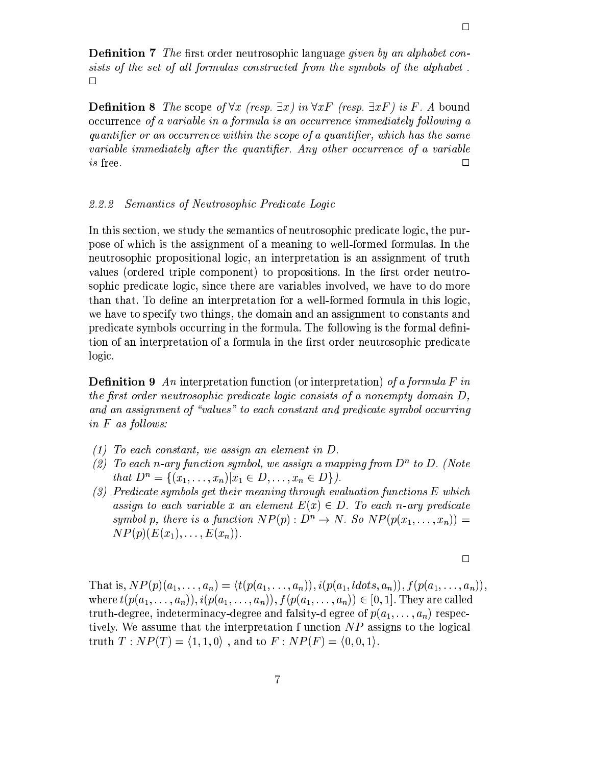**Definition 7** The first order neutrosophic language given by an alphabet consists of the set of all formulas constructed from the symbols of the alphabet.  $\Box$ 

**Definition 8** The scope of  $\forall x$  (resp.  $\exists x$ ) in  $\forall x F$  (resp.  $\exists x F$ ) is F. A bound occurrence of a variable in a formula is an occurrence immediately following a quantifier or an occurrence within the scope of a quantifier, which has the same variable immediately after the quantifier. Any other occurrence of a variable *is* free.  $\Box$ 

#### Semantics of Neutrosophic Predicate Logic  $2.2.2$

In this section, we study the semantics of neutrosophic predicate logic, the purpose of which is the assignment of a meaning to well-formed formulas. In the neutrosophic propositional logic, an interpretation is an assignment of truth values (ordered triple component) to propositions. In the first order neutrosophic predicate logic, since there are variables involved, we have to do more than that. To define an interpretation for a well-formed formula in this logic, we have to specify two things, the domain and an assignment to constants and predicate symbols occurring in the formula. The following is the formal definition of an interpretation of a formula in the first order neutrosophic predicate logic.

**Definition 9** An interpretation function (or interpretation) of a formula F in the first order neutrosophic predicate logic consists of a nonempty domain  $D$ , and an assignment of "values" to each constant and predicate symbol occurring in  $F$  as follows:

- $(1)$  To each constant, we assign an element in D.
- (2) To each n-ary function symbol, we assign a mapping from  $D^n$  to D. (Note that  $D^n = \{(x_1, \ldots, x_n) | x_1 \in D, \ldots, x_n \in D\}$ .
- $(3)$  Predicate symbols get their meaning through evaluation functions E which assign to each variable x an element  $E(x) \in D$ . To each n-ary predicate symbol p, there is a function  $NP(p): D^n \to N$ . So  $NP(p(x_1, \ldots, x_n)) =$  $NP(p)(E(x_1), \ldots, E(x_n)).$

$$
\Box
$$

That is,  $NP(p)(a_1, ..., a_n) = \langle t(p(a_1, ..., a_n)), i(p(a_1, \text{ldots}, a_n)), f(p(a_1, ..., a_n)),$ where  $t(p(a_1,..., a_n)), i(p(a_1,..., a_n)), f(p(a_1,..., a_n)) \in [0,1]$ . They are called truth-degree, indeterminacy-degree and falsity-d egree of  $p(a_1, \ldots, a_n)$  respectively. We assume that the interpretation f unction  $NP$  assigns to the logical truth  $T: NP(T) = \langle 1, 1, 0 \rangle$ , and to  $F: NP(F) = \langle 0, 0, 1 \rangle$ .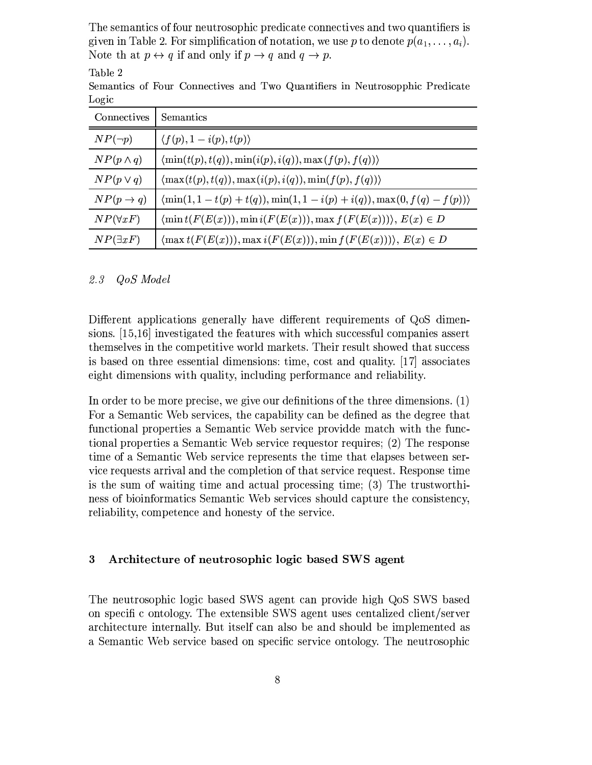The semantics of four neutrosophic predicate connectives and two quantifiers is given in Table 2. For simplification of notation, we use p to denote  $p(a_1, \ldots, a_i)$ . Note that  $p \leftrightarrow q$  if and only if  $p \rightarrow q$  and  $q \rightarrow p$ .

| Connectives           | Semantics                                                                     |
|-----------------------|-------------------------------------------------------------------------------|
| $NP(\neg p)$          | $\langle f(p), 1-i(p), t(p) \rangle$                                          |
| $NP(p \wedge q)$      | $\langle \min(t(p), t(q)), \min(i(p), i(q)), \max(f(p), f(q)) \rangle$        |
| $NP(p \vee q)$        | $\langle \max(t(p), t(q)), \max(i(p), i(q)), \min(f(p), f(q)) \rangle$        |
| $NP(p \rightarrow q)$ | $\langle \min(1,1-t(p)+t(q)), \min(1,1-i(p)+i(q)), \max(0,f(q)-f(p)) \rangle$ |
| $NP(\forall x F)$     | $\{\min t(F(E(x))), \min i(F(E(x))), \max f(F(E(x))))\}, E(x) \in D$          |
| $NP(\exists x F)$     | $(\max t(F(E(x))), \max i(F(E(x))), \min f(F(E(x))))$ , $E(x) \in D$          |

Semantics of Four Connectives and Two Quantifiers in Neutrosopphic Predicate Logic

#### $2.3$ QoS Model

Table 2

Different applications generally have different requirements of QoS dimensions. [15,16] investigated the features with which successful companies assert themselves in the competitive world markets. Their result showed that success is based on three essential dimensions: time, cost and quality. [17] associates eight dimensions with quality, including performance and reliability.

In order to be more precise, we give our definitions of the three dimensions.  $(1)$ For a Semantic Web services, the capability can be defined as the degree that functional properties a Semantic Web service provided match with the functional properties a Semantic Web service requestor requires; (2) The response time of a Semantic Web service represents the time that elapses between service requests arrival and the completion of that service request. Response time is the sum of waiting time and actual processing time; (3) The trustworthness of bioinformatics Semantic Web services should capture the consistency, reliability, competence and honesty of the service.

#### $\overline{\mathbf{3}}$ Architecture of neutrosophic logic based SWS agent

The neutrosophic logic based SWS agent can provide high QoS SWS based on specific ontology. The extensible SWS agent uses centalized client/server architecture internally. But itself can also be and should be implemented as a Semantic Web service based on specific service ontology. The neutrosophic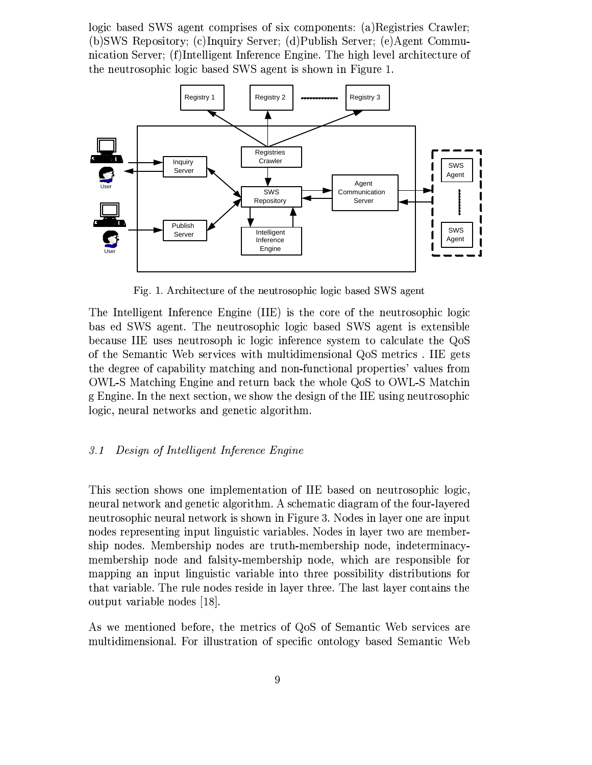logic based SWS agent comprises of six components: (a)Registries Crawler; (b)SWS Repository; (c)Inquiry Server; (d)Publish Server; (e)Agent Communication Server; (f)Intelligent Inference Engine. The high level architecture of the neutrosophic logic based SWS agent is shown in Figure 1.



Fig. 1. Architecture of the neutrosophic logic based SWS agent

The Intelligent Inference Engine (IIE) is the core of the neutrosophic logic bas ed SWS agent. The neutrosophic logic based SWS agent is extensible because IIE uses neutrosoph ic logic inference system to calculate the QoS of the Semantic Web services with multidimensional QoS metrics. IIE gets the degree of capability matching and non-functional properties' values from OWL-S Matching Engine and return back the whole QoS to OWL-S Matchin g Engine. In the next section, we show the design of the IIE using neutrosophic logic, neural networks and genetic algorithm.

#### Design of Intelligent Inference Engine  $3.1$

This section shows one implementation of IIE based on neutrosophic logic, neural network and genetic algorithm. A schematic diagram of the four-layered neutrosophic neural network is shown in Figure 3. Nodes in layer one are input nodes representing input linguistic variables. Nodes in layer two are membership nodes. Membership nodes are truth-membership node, indeterminacymembership node and falsity-membership node, which are responsible for mapping an input linguistic variable into three possibility distributions for that variable. The rule nodes reside in layer three. The last layer contains the output variable nodes [18].

As we mentioned before, the metrics of QoS of Semantic Web services are multidimensional. For illustration of specific ontology based Semantic Web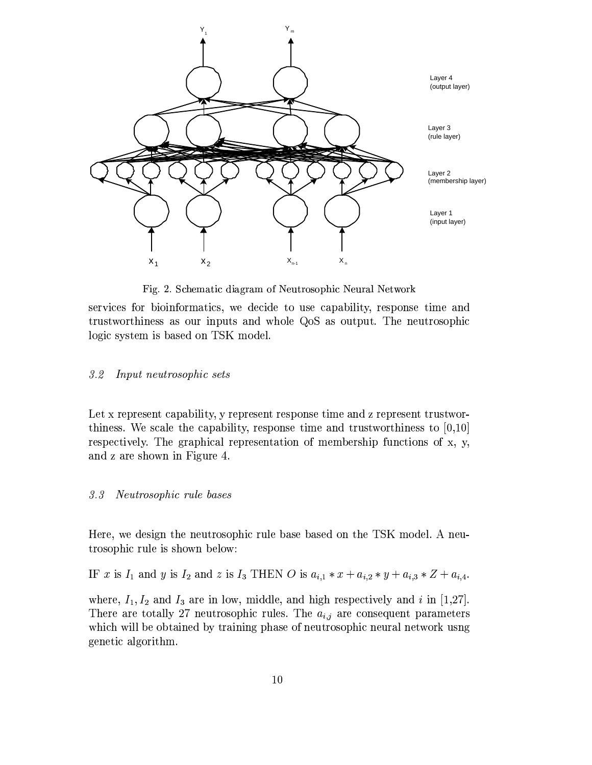

Fig. 2. Schematic diagram of Neutrosophic Neural Network

services for bioinformatics, we decide to use capability, response time and trustworthiness as our inputs and whole QoS as output. The neutrosophic logic system is based on TSK model.

#### Input neutrosophic sets  $3.2$

Let x represent capability, y represent response time and z represent trustworthiness. We scale the capability, response time and trustworthiness to  $[0,10]$ respectively. The graphical representation of membership functions of x, y, and z are shown in Figure 4.

#### $3.3$ Neutrosophic rule bases

Here, we design the neutrosophic rule base based on the TSK model. A neutrosophic rule is shown below:

IF x is  $I_1$  and y is  $I_2$  and z is  $I_3$  THEN O is  $a_{i,1} * x + a_{i,2} * y + a_{i,3} * Z + a_{i,4}$ .

where,  $I_1, I_2$  and  $I_3$  are in low, middle, and high respectively and i in [1,27]. There are totally 27 neutrosophic rules. The  $a_{i,j}$  are consequent parameters which will be obtained by training phase of neutrosophic neural network usng genetic algorithm.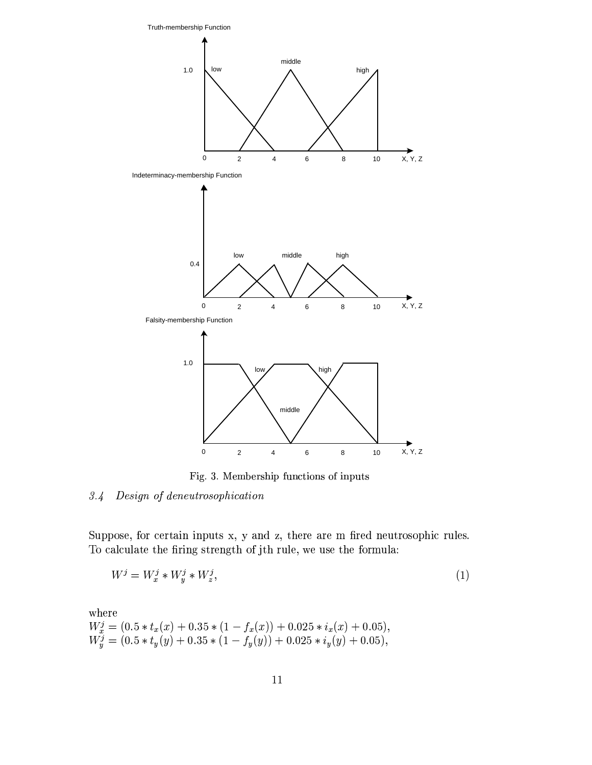

Fig. 3. Membership functions of inputs

#### Design of deneutrosophication  $3.4$

Suppose, for certain inputs x, y and z, there are m fired neutrosophic rules. To calculate the firing strength of jth rule, we use the formula:

$$
W^j = W^j_x * W^j_y * W^j_z,\tag{1}
$$

where  $W_x^j = (0.5 * t_x(x) + 0.35 * (1 - f_x(x)) + 0.025 * i_x(x) + 0.05),$ <br>  $W_y^j = (0.5 * t_y(y) + 0.35 * (1 - f_y(y)) + 0.025 * i_y(y) + 0.05),$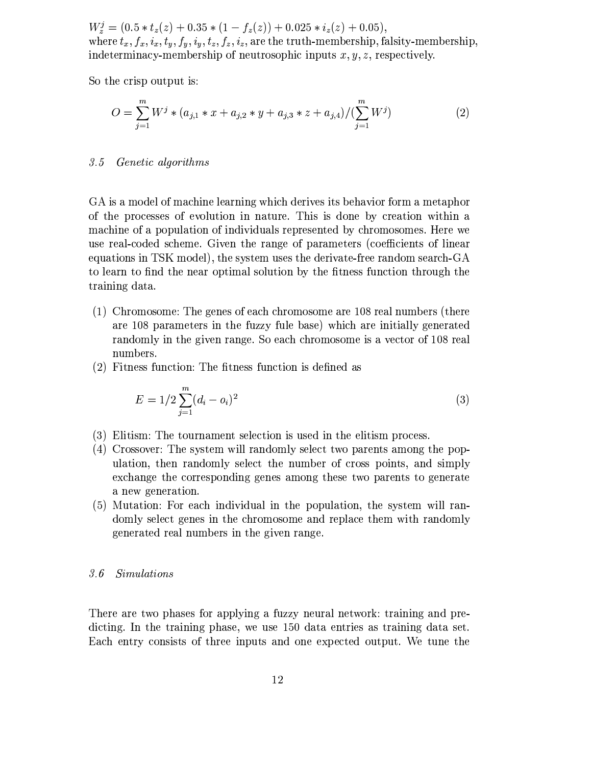$W_z^j = (0.5 * t_z(z) + 0.35 * (1 - f_z(z)) + 0.025 * i_z(z) + 0.05),$ where  $t_x, f_x, i_x, t_y, f_y, i_y, t_z, f_z, i_z$ , are the truth-membership, falsity-membership, indeterminacy-membership of neutrosophic inputs  $x, y, z$ , respectively.

So the crisp output is:

$$
O = \sum_{j=1}^{m} W^j * (a_{j,1} * x + a_{j,2} * y + a_{j,3} * z + a_{j,4}) / (\sum_{j=1}^{m} W^j)
$$
(2)

### 3.5 Genetic algorithms

GA is a model of machine learning which derives its behavior form a metaphor of the processes of evolution in nature. This is done by creation within a machine of a population of individuals represented by chromosomes. Here we use real-coded scheme. Given the range of parameters (coefficients of linear equations in TSK model), the system uses the derivate-free random search-GA to learn to find the near optimal solution by the fitness function through the training data.

- (1) Chromosome: The genes of each chromosome are 108 real numbers (there are 108 parameters in the fuzzy fule base) which are initially generated randomly in the given range. So each chromosome is a vector of 108 real numbers.
- (2) Fitness function: The fitness function is defined as

$$
E = 1/2 \sum_{j=1}^{m} (d_i - o_i)^2
$$
\n(3)

- (3) Elitism: The tournament selection is used in the elitism process.
- (4) Crossover: The system will randomly select two parents among the population, then randomly select the number of cross points, and simply exchange the corresponding genes among these two parents to generate a new generation.
- (5) Mutation: For each individual in the population, the system will randomly select genes in the chromosome and replace them with randomly generated real numbers in the given range.

#### *Simulations*  $3.6$

There are two phases for applying a fuzzy neural network: training and predicting. In the training phase, we use 150 data entries as training data set. Each entry consists of three inputs and one expected output. We tune the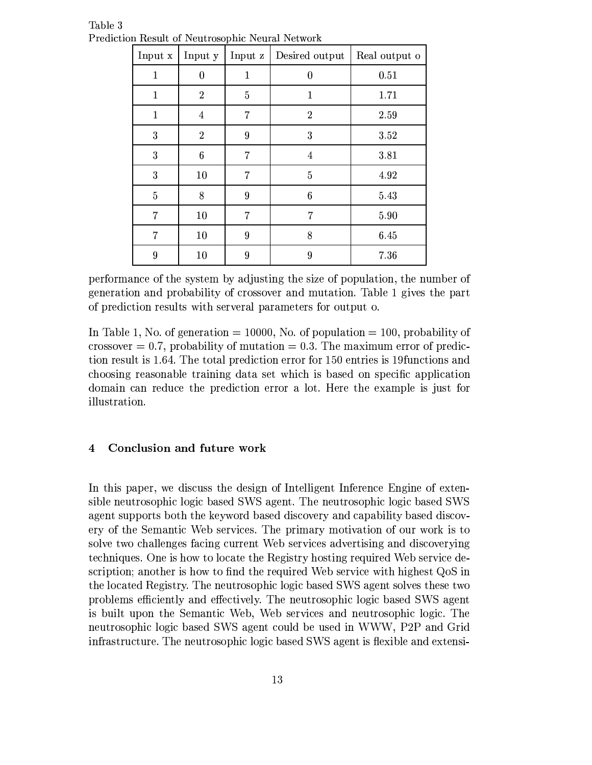| Input x      | Input y          | Input z        | Desired output   | Real output o |
|--------------|------------------|----------------|------------------|---------------|
| $\mathbf{1}$ | $\boldsymbol{0}$ | 1              | $\theta$         | 0.51          |
| 1            | $\overline{2}$   | $\overline{5}$ | 1                | 1.71          |
| 1            | $\overline{4}$   | $\overline{7}$ | $\boldsymbol{2}$ | 2.59          |
| 3            | $\overline{2}$   | $\overline{9}$ | 3                | 3.52          |
| 3            | $6\phantom{.}6$  | 7              | 4                | 3.81          |
| 3            | 10               | $\overline{7}$ | $\overline{5}$   | 4.92          |
| 5            | 8                | 9              | $\boldsymbol{6}$ | 5.43          |
| 7            | 10               | 7              | 7                | 5.90          |
| 7            | 10               | $\overline{9}$ | 8                | 6.45          |
| 9            | 10               | $\overline{9}$ | 9                | 7.36          |

Table 3 Prediction Result of Neutrosophic Neural Network

performance of the system by adjusting the size of population, the number of generation and probability of crossover and mutation. Table 1 gives the part of prediction results with serveral parameters for output o.

In Table 1, No. of generation = 10000, No. of population = 100, probability of crossover  $= 0.7$ , probability of mutation  $= 0.3$ . The maximum error of prediction result is 1.64. The total prediction error for 150 entries is 19 functions and choosing reasonable training data set which is based on specific application domain can reduce the prediction error a lot. Here the example is just for illustration.

#### Conclusion and future work  $\overline{\mathbf{4}}$

In this paper, we discuss the design of Intelligent Inference Engine of extensible neutrosophic logic based SWS agent. The neutrosophic logic based SWS agent supports both the keyword based discovery and capability based discovery of the Semantic Web services. The primary motivation of our work is to solve two challenges facing current Web services advertising and discoverying techniques. One is how to locate the Registry hosting required Web service description; another is how to find the required Web service with highest QoS in the located Registry. The neutrosophic logic based SWS agent solves these two problems efficiently and effectively. The neutrosophic logic based SWS agent is built upon the Semantic Web, Web services and neutrosophic logic. The neutrosophic logic based SWS agent could be used in WWW, P2P and Grid infrastructure. The neutrosophic logic based SWS agent is flexible and extensi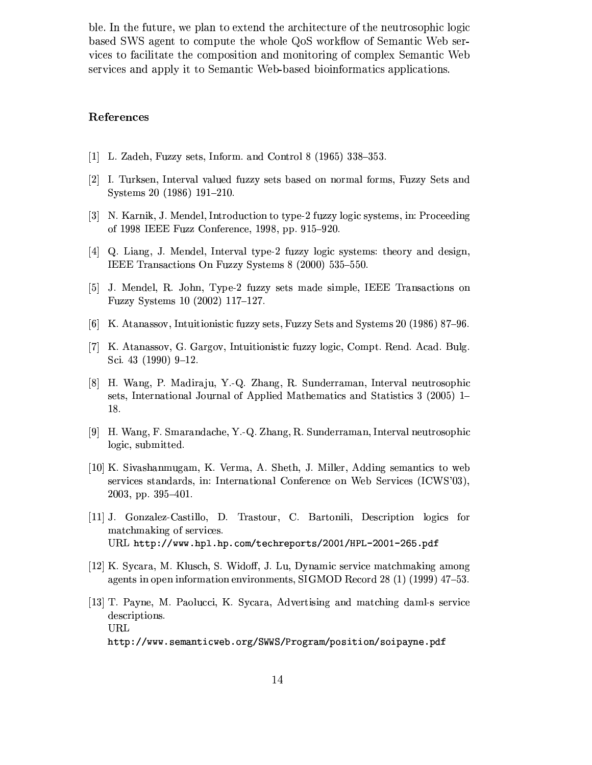ble. In the future, we plan to extend the architecture of the neutrosophic logic based SWS agent to compute the whole QoS workflow of Semantic Web services to facilitate the composition and monitoring of complex Semantic Web services and apply it to Semantic Web-based bioinformatics applications.

# References

- [1] L. Zadeh, Fuzzy sets, Inform. and Control 8 (1965)  $338-353$ .
- [2] I. Turksen, Interval valued fuzzy sets based on normal forms, Fuzzy Sets and Systems 20 (1986) 191-210.
- [3] N. Karnik, J. Mendel, Introduction to type-2 fuzzy logic systems, in: Proceeding of 1998 IEEE Fuzz Conference, 1998, pp. 915-920.
- [4] Q. Liang, J. Mendel, Interval type-2 fuzzy logic systems: theory and design, IEEE Transactions On Fuzzy Systems 8 (2000) 535-550.
- [5] J. Mendel, R. John, Type-2 fuzzy sets made simple, IEEE Transactions on Fuzzy Systems 10 (2002) 117-127.
- [6] K. Atanassov, Intuitionistic fuzzy sets, Fuzzy Sets and Systems 20 (1986) 87–96.
- [7] K. Atanassov, G. Gargov, Intuitionistic fuzzy logic, Compt. Rend. Acad. Bulg. Sci. 43  $(1990)$  9-12.
- [8] H. Wang, P. Madiraju, Y.-Q. Zhang, R. Sunderraman, Interval neutrosophic sets, International Journal of Applied Mathematics and Statistics 3 (2005) 1– 18.
- [9] H. Wang, F. Smarandache, Y.-Q. Zhang, R. Sunderraman, Interval neutrosophic logic, submitted.
- [10] K. Sivashanmugam, K. Verma, A. Sheth, J. Miller, Adding semantics to web services standards, in: International Conference on Web Services (ICWS'03),  $2003$ , pp.  $395-401$ .
- [11] J. Gonzalez-Castillo. D. Trastour. C. Bartonili. Description logics for matchmaking of services. URL http://www.hpl.hp.com/techreports/2001/HPL-2001-265.pdf
- [12] K. Sycara, M. Klusch, S. Widoff, J. Lu, Dynamic service matchmaking among agents in open information environments, SIGMOD Record 28 (1) (1999) 47–53.
- [13] T. Payne, M. Paolucci, K. Sycara, Advertising and matching daml-s service descriptions. URL http://www.semanticweb.org/SWWS/Program/position/soipayne.pdf